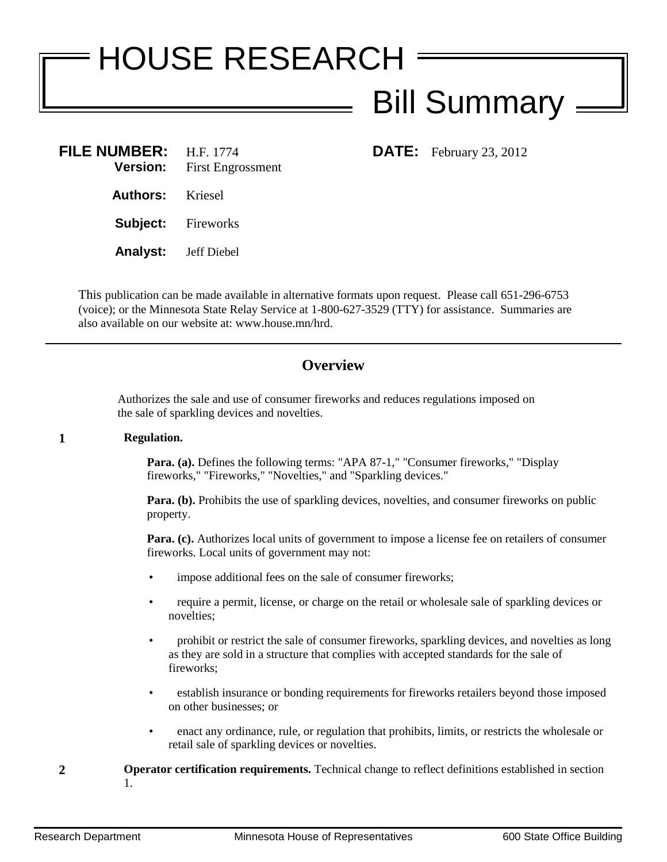## HOUSE RESEARCH **Bill Summary -**

| FILE NUMBER: H.F. 1774      | <b>Version:</b> First Engrossment |
|-----------------------------|-----------------------------------|
| <b>Authors:</b> Kriesel     |                                   |
| <b>Subject:</b> Fireworks   |                                   |
| <b>Analyst:</b> Jeff Diebel |                                   |

**DATE:** February 23, 2012

This publication can be made available in alternative formats upon request. Please call 651-296-6753 (voice); or the Minnesota State Relay Service at 1-800-627-3529 (TTY) for assistance. Summaries are also available on our website at: www.house.mn/hrd.

## **Overview**

Authorizes the sale and use of consumer fireworks and reduces regulations imposed on the sale of sparkling devices and novelties.

## **1 Regulation.**

**Para. (a).** Defines the following terms: "APA 87-1," "Consumer fireworks," "Display fireworks," "Fireworks," "Novelties," and "Sparkling devices."

**Para. (b).** Prohibits the use of sparkling devices, novelties, and consumer fireworks on public property.

Para. (c). Authorizes local units of government to impose a license fee on retailers of consumer fireworks. Local units of government may not:

- impose additional fees on the sale of consumer fireworks;
- require a permit, license, or charge on the retail or wholesale sale of sparkling devices or novelties;
- prohibit or restrict the sale of consumer fireworks, sparkling devices, and novelties as long as they are sold in a structure that complies with accepted standards for the sale of fireworks;
- establish insurance or bonding requirements for fireworks retailers beyond those imposed on other businesses; or
- enact any ordinance, rule, or regulation that prohibits, limits, or restricts the wholesale or retail sale of sparkling devices or novelties.
- **2 Operator certification requirements.** Technical change to reflect definitions established in section 1.